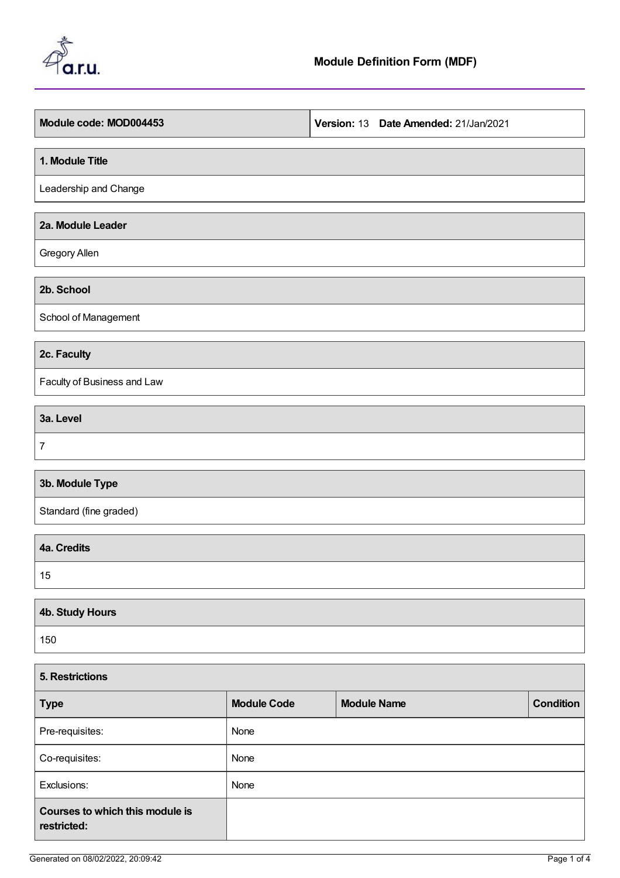

| Module code: MOD004453      | Version: 13 Date Amended: 21/Jan/2021 |
|-----------------------------|---------------------------------------|
| 1. Module Title             |                                       |
| Leadership and Change       |                                       |
| 2a. Module Leader           |                                       |
| Gregory Allen               |                                       |
| 2b. School                  |                                       |
| School of Management        |                                       |
| 2c. Faculty                 |                                       |
| Faculty of Business and Law |                                       |
| 3a. Level                   |                                       |
| $\overline{7}$              |                                       |
| 3b. Module Type             |                                       |
| Standard (fine graded)      |                                       |
| 4a. Credits                 |                                       |
| 15                          |                                       |
|                             |                                       |

| 4b. Study Hours |  |
|-----------------|--|
| 150             |  |

| <b>5. Restrictions</b>                         |                    |                    |                  |  |  |
|------------------------------------------------|--------------------|--------------------|------------------|--|--|
| <b>Type</b>                                    | <b>Module Code</b> | <b>Module Name</b> | <b>Condition</b> |  |  |
| Pre-requisites:                                | None               |                    |                  |  |  |
| Co-requisites:                                 | None               |                    |                  |  |  |
| Exclusions:                                    | None               |                    |                  |  |  |
| Courses to which this module is<br>restricted: |                    |                    |                  |  |  |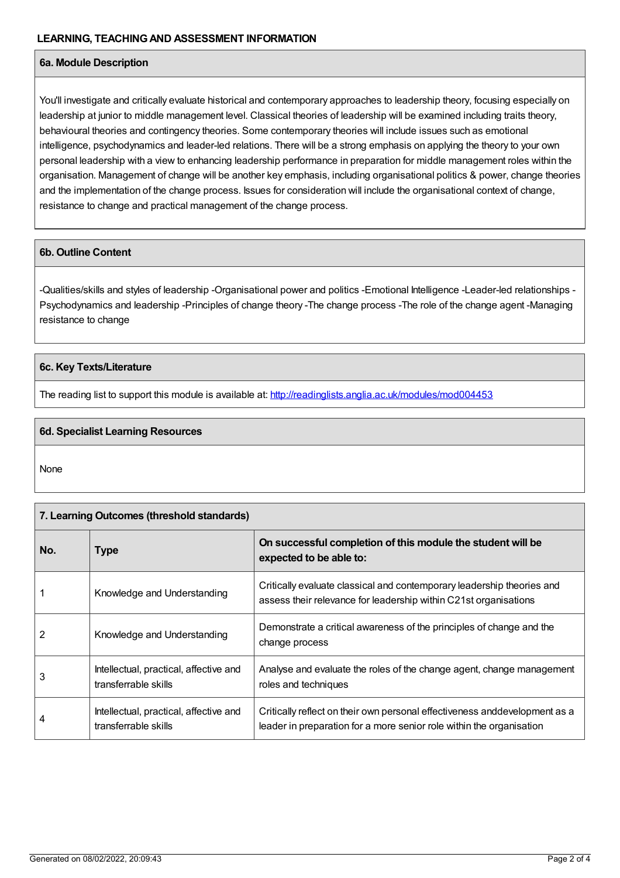## **6a. Module Description**

You'll investigate and critically evaluate historical and contemporary approaches to leadership theory, focusing especially on leadership at junior to middle management level. Classical theories of leadership will be examined including traits theory, behavioural theories and contingency theories. Some contemporary theories will include issues such as emotional intelligence, psychodynamics and leader-led relations. There will be a strong emphasis on applying the theory to your own personal leadership with a view to enhancing leadership performance in preparation for middle management roles within the organisation. Management of change will be another key emphasis, including organisational politics & power, change theories and the implementation of the change process. Issues for consideration will include the organisational context of change, resistance to change and practical management of the change process.

## **6b. Outline Content**

-Qualities/skills and styles of leadership -Organisational power and politics -Emotional Intelligence -Leader-led relationships - Psychodynamics and leadership -Principles of change theory -The change process -The role of the change agent -Managing resistance to change

## **6c. Key Texts/Literature**

The reading list to support this module is available at: <http://readinglists.anglia.ac.uk/modules/mod004453>

## **6d. Specialist Learning Resources**

None

| 7. Learning Outcomes (threshold standards) |                                                                |                                                                                                                                                    |  |  |
|--------------------------------------------|----------------------------------------------------------------|----------------------------------------------------------------------------------------------------------------------------------------------------|--|--|
| No.                                        | <b>Type</b>                                                    | On successful completion of this module the student will be<br>expected to be able to:                                                             |  |  |
|                                            | Knowledge and Understanding                                    | Critically evaluate classical and contemporary leadership theories and<br>assess their relevance for leadership within C21st organisations         |  |  |
| 2                                          | Knowledge and Understanding                                    | Demonstrate a critical awareness of the principles of change and the<br>change process                                                             |  |  |
| 3                                          | Intellectual, practical, affective and<br>transferrable skills | Analyse and evaluate the roles of the change agent, change management<br>roles and techniques                                                      |  |  |
| 4                                          | Intellectual, practical, affective and<br>transferrable skills | Critically reflect on their own personal effectiveness anddevelopment as a<br>leader in preparation for a more senior role within the organisation |  |  |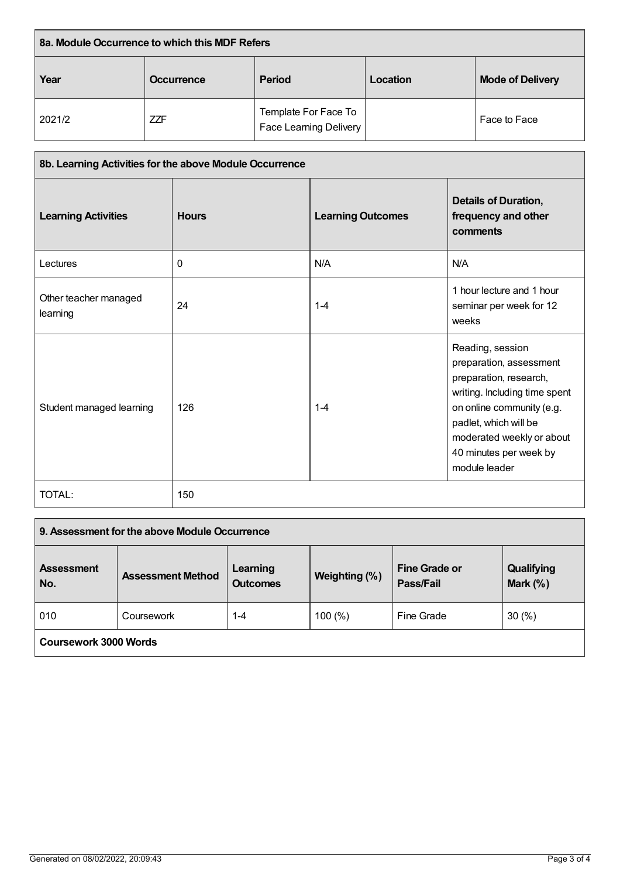| 8a. Module Occurrence to which this MDF Refers |                                    |                                                       |          |                         |
|------------------------------------------------|------------------------------------|-------------------------------------------------------|----------|-------------------------|
| Year                                           | <b>Period</b><br><b>Occurrence</b> |                                                       | Location | <b>Mode of Delivery</b> |
| 2021/2                                         | <b>ZZF</b>                         | Template For Face To<br><b>Face Learning Delivery</b> |          | Face to Face            |

| 8b. Learning Activities for the above Module Occurrence |              |                          |                                                                                                                                                                                                                                      |  |
|---------------------------------------------------------|--------------|--------------------------|--------------------------------------------------------------------------------------------------------------------------------------------------------------------------------------------------------------------------------------|--|
| <b>Learning Activities</b>                              | <b>Hours</b> | <b>Learning Outcomes</b> | <b>Details of Duration,</b><br>frequency and other<br>comments                                                                                                                                                                       |  |
| Lectures                                                | $\mathbf{0}$ | N/A                      | N/A                                                                                                                                                                                                                                  |  |
| Other teacher managed<br>learning                       | 24           | $1 - 4$                  | 1 hour lecture and 1 hour<br>seminar per week for 12<br>weeks                                                                                                                                                                        |  |
| Student managed learning                                | 126          | $1 - 4$                  | Reading, session<br>preparation, assessment<br>preparation, research,<br>writing. Including time spent<br>on online community (e.g.<br>padlet, which will be<br>moderated weekly or about<br>40 minutes per week by<br>module leader |  |
| <b>TOTAL:</b>                                           | 150          |                          |                                                                                                                                                                                                                                      |  |

| 9. Assessment for the above Module Occurrence |                          |                             |               |                                   |                          |
|-----------------------------------------------|--------------------------|-----------------------------|---------------|-----------------------------------|--------------------------|
| <b>Assessment</b><br>No.                      | <b>Assessment Method</b> | Learning<br><b>Outcomes</b> | Weighting (%) | <b>Fine Grade or</b><br>Pass/Fail | Qualifying<br>Mark $(%)$ |
| 010                                           | Coursework               | 1-4                         | 100(%)        | Fine Grade                        | 30(%)                    |
| Coursework 3000 Words                         |                          |                             |               |                                   |                          |